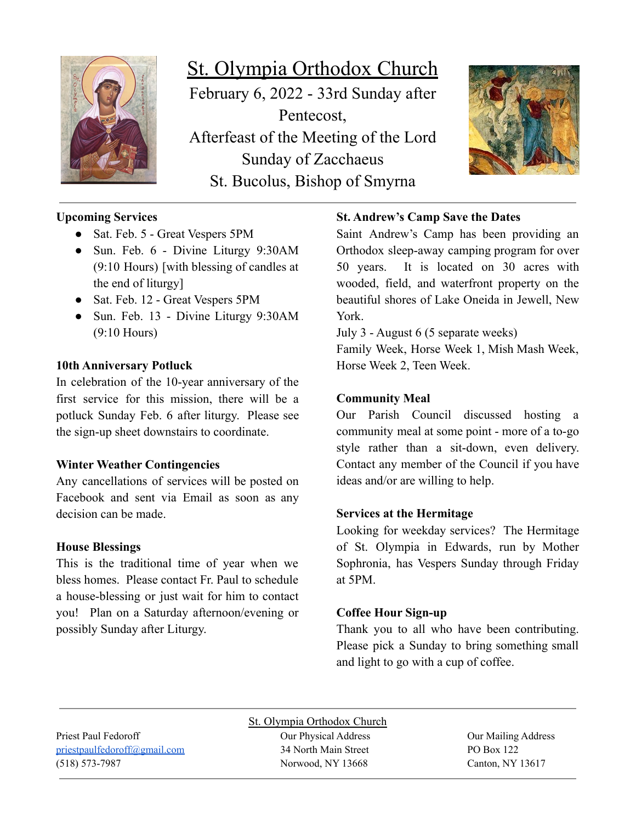

# St. Olympia Orthodox Church February 6, 2022 - 33rd Sunday after Pentecost, Afterfeast of the Meeting of the Lord Sunday of Zacchaeus St. Bucolus, Bishop of Smyrna



# **Upcoming Services**

- Sat. Feb. 5 Great Vespers 5PM
- Sun. Feb. 6 Divine Liturgy 9:30AM (9:10 Hours) [with blessing of candles at the end of liturgy]
- Sat. Feb. 12 Great Vespers 5PM
- Sun. Feb. 13 Divine Liturgy 9:30AM (9:10 Hours)

### **10th Anniversary Potluck**

In celebration of the 10-year anniversary of the first service for this mission, there will be a potluck Sunday Feb. 6 after liturgy. Please see the sign-up sheet downstairs to coordinate.

### **Winter Weather Contingencies**

Any cancellations of services will be posted on Facebook and sent via Email as soon as any decision can be made.

### **House Blessings**

This is the traditional time of year when we bless homes. Please contact Fr. Paul to schedule a house-blessing or just wait for him to contact you! Plan on a Saturday afternoon/evening or possibly Sunday after Liturgy.

# **St. Andrew's Camp Save the Dates**

Saint Andrew's Camp has been providing an Orthodox sleep-away camping program for over 50 years. It is located on 30 acres with wooded, field, and waterfront property on the beautiful shores of Lake Oneida in Jewell, New York.

July 3 - August 6 (5 separate weeks)

Family Week, Horse Week 1, Mish Mash Week, Horse Week 2, Teen Week.

### **Community Meal**

Our Parish Council discussed hosting a community meal at some point - more of a to-go style rather than a sit-down, even delivery. Contact any member of the Council if you have ideas and/or are willing to help.

## **Services at the Hermitage**

Looking for weekday services? The Hermitage of St. Olympia in Edwards, run by Mother Sophronia, has Vespers Sunday through Friday at 5PM.

### **Coffee Hour Sign-up**

Thank you to all who have been contributing. Please pick a Sunday to bring something small and light to go with a cup of coffee.

Priest Paul Fedoroff Our Physical Address Our Mailing Address [priestpaulfedoroff@gmail.com](mailto:priestpaulfedoroff@gmail.com) 34 North Main Street PO Box 122 (518) 573-7987 Norwood, NY 13668 Canton, NY 13617

St. Olympia Orthodox Church